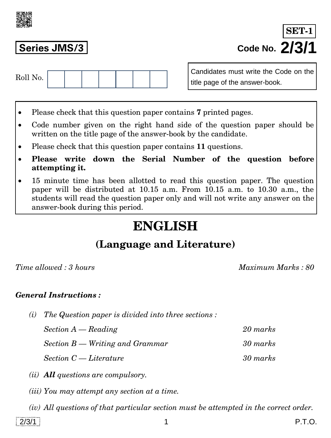

**Series JMS/3 Code No. 2/3/1 SET-1**

| $D011$ M.<br>$\pm 0$ II INO. |  |  |  |  |
|------------------------------|--|--|--|--|
|                              |  |  |  |  |

Candidates must write the Code on the title page of the answer-book.

- Please check that this question paper contains **7** printed pages.
- Code number given on the right hand side of the question paper should be written on the title page of the answer-book by the candidate.
- Please check that this question paper contains **11** questions.
- **Please write down the Serial Number of the question before attempting it.**
- 15 minute time has been allotted to read this question paper. The question paper will be distributed at 10.15 a.m. From 10.15 a.m. to 10.30 a.m., the students will read the question paper only and will not write any answer on the answer-book during this period.

# **ENGLISH**

## **(Language and Literature)**

*Time allowed : 3 hours Maximum Marks : 80*

#### *General Instructions :*

*(i) The Question paper is divided into three sections :* 

*Section A — Reading 20 marks Section B — Writing and Grammar 30 marks Section C — Literature 30 marks* 

- *(ii) All questions are compulsory.*
- *(iii) You may attempt any section at a time.*
- *(iv) All questions of that particular section must be attempted in the correct order.*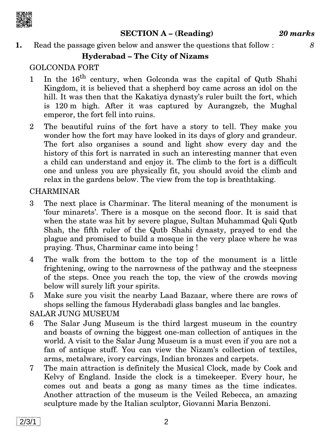

**SECTION A – (Reading)** *20 marks*

**1.** Read the passage given below and answer the questions that follow : *8*

#### **Hyderabad – The City of Nizams**

### GOLCONDA FORT

- 1 In the  $16^{th}$  century, when Golconda was the capital of Qutb Shahi Kingdom, it is believed that a shepherd boy came across an idol on the hill. It was then that the Kakatiya dynasty's ruler built the fort, which is 120 m high. After it was captured by Aurangzeb, the Mughal emperor, the fort fell into ruins.
- 2 The beautiful ruins of the fort have a story to tell. They make you wonder how the fort may have looked in its days of glory and grandeur. The fort also organises a sound and light show every day and the history of this fort is narrated in such an interesting manner that even a child can understand and enjoy it. The climb to the fort is a difficult one and unless you are physically fit, you should avoid the climb and relax in the gardens below. The view from the top is breathtaking.

#### CHARMINAR

- 3 The next place is Charminar. The literal meaning of the monument is 'four minarets'. There is a mosque on the second floor. It is said that when the state was hit by severe plague, Sultan Muhammad Quli Qutb Shah, the fifth ruler of the Qutb Shahi dynasty, prayed to end the plague and promised to build a mosque in the very place where he was praying. Thus, Charminar came into being !
- 4 The walk from the bottom to the top of the monument is a little frightening, owing to the narrowness of the pathway and the steepness of the steps. Once you reach the top, the view of the crowds moving below will surely lift your spirits.
- 5 Make sure you visit the nearby Laad Bazaar, where there are rows of shops selling the famous Hyderabadi glass bangles and lac bangles.

#### SALAR JUNG MUSEUM

- 6 The Salar Jung Museum is the third largest museum in the country and boasts of owning the biggest one-man collection of antiques in the world. A visit to the Salar Jung Museum is a must even if you are not a fan of antique stuff. You can view the Nizam's collection of textiles, arms, metalware, ivory carvings, Indian bronzes and carpets.
- 7 The main attraction is definitely the Musical Clock, made by Cook and Kelvy of England. Inside the clock is a timekeeper. Every hour, he comes out and beats a gong as many times as the time indicates. Another attraction of the museum is the Veiled Rebecca, an amazing sculpture made by the Italian sculptor, Giovanni Maria Benzoni.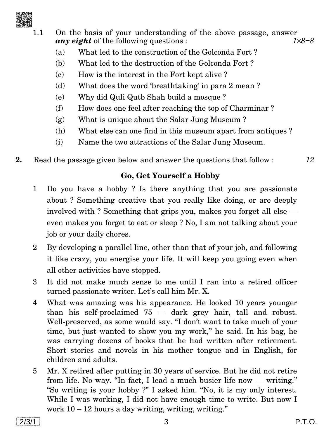

1.1 On the basis of your understanding of the above passage, answer *any eight* of the following questions : *18=8*

- (a) What led to the construction of the Golconda Fort ?
- (b) What led to the destruction of the Golconda Fort ?
- (c) How is the interest in the Fort kept alive ?
- (d) What does the word 'breathtaking' in para 2 mean ?
- (e) Why did Quli Qutb Shah build a mosque ?
- (f) How does one feel after reaching the top of Charminar ?
- (g) What is unique about the Salar Jung Museum ?
- (h) What else can one find in this museum apart from antiques ?
- (i) Name the two attractions of the Salar Jung Museum.
- **2.** Read the passage given below and answer the questions that follow : *12*

#### **Go, Get Yourself a Hobby**

- 1 Do you have a hobby ? Is there anything that you are passionate about ? Something creative that you really like doing, or are deeply involved with ? Something that grips you, makes you forget all else even makes you forget to eat or sleep ? No, I am not talking about your job or your daily chores.
- 2 By developing a parallel line, other than that of your job, and following it like crazy, you energise your life. It will keep you going even when all other activities have stopped.
- 3 It did not make much sense to me until I ran into a retired officer turned passionate writer. Let's call him Mr. X.
- 4 What was amazing was his appearance. He looked 10 years younger than his self-proclaimed 75 — dark grey hair, tall and robust. Well-preserved, as some would say. "I don't want to take much of your time, but just wanted to show you my work,'' he said. In his bag, he was carrying dozens of books that he had written after retirement. Short stories and novels in his mother tongue and in English, for children and adults.
- 5 Mr. X retired after putting in 30 years of service. But he did not retire from life. No way. ''In fact, I lead a much busier life now — writing.'' ''So writing is your hobby ?'' I asked him. ''No, it is my only interest. While I was working, I did not have enough time to write. But now I work 10 – 12 hours a day writing, writing, writing.''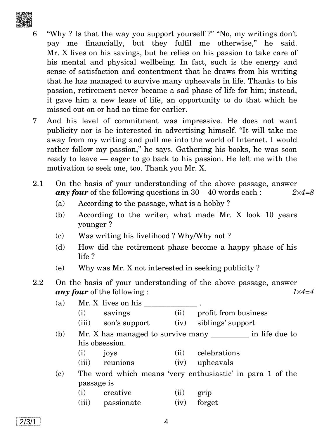

- "Why ? Is that the way you support yourself ?" "No, my writings don't pay me financially, but they fulfil me otherwise,'' he said. Mr. X lives on his savings, but he relies on his passion to take care of his mental and physical wellbeing. In fact, such is the energy and sense of satisfaction and contentment that he draws from his writing that he has managed to survive many upheavals in life. Thanks to his passion, retirement never became a sad phase of life for him; instead, it gave him a new lease of life, an opportunity to do that which he missed out on or had no time for earlier.
- 7 And his level of commitment was impressive. He does not want publicity nor is he interested in advertising himself. ''It will take me away from my writing and pull me into the world of Internet. I would rather follow my passion," he says. Gathering his books, he was soon ready to leave — eager to go back to his passion. He left me with the motivation to seek one, too. Thank you Mr. X.
- 2.1 On the basis of your understanding of the above passage, answer *any four* of the following questions in 30 – 40 words each : *24=8*
	- (a) According to the passage, what is a hobby ?
	- (b) According to the writer, what made Mr. X look 10 years younger ?
	- (c) Was writing his livelihood ? Why/Why not ?
	- (d) How did the retirement phase become a happy phase of his life ?
	- (e) Why was Mr. X not interested in seeking publicity ?
- 2.2 On the basis of your understanding of the above passage, answer *any four* of the following : *1×4=4* 
	- (a) Mr. X lives on his (i) savings (ii) profit from business
		- (iii) son's support (iv) siblings' support
	- $(b)$  Mr. X has managed to survive many  $\qquad$  in life due to his obsession.
		- (i) joys (ii) celebrations
		- (iii) reunions (iv) upheavals
	- (c) The word which means 'very enthusiastic' in para 1 of the passage is
		- (i) creative (ii) grip
		- (iii) passionate (iv) forget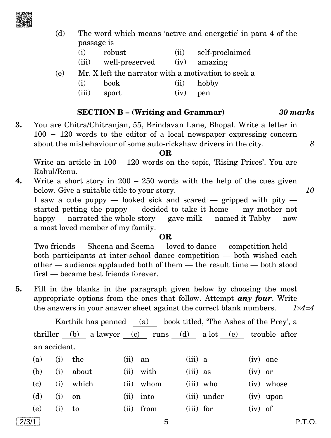

- (d) The word which means 'active and energetic' in para 4 of the passage is
	- (i) robust (ii) self-proclaimed
	- (iii) well-preserved (iv) amazing
- (e) Mr. X left the narrator with a motivation to seek a
	- (i) book (ii) hobby
	- (iii) sport (iv) pen

#### **SECTION B – (Writing and Grammar)** *30 marks*

**3.** You are Chitra/Chitranjan, 55, Brindavan Lane, Bhopal. Write a letter in  $100 - 120$  words to the editor of a local newspaper expressing concern about the misbehaviour of some auto-rickshaw drivers in the city. *8*

**OR**

Write an article in  $100 - 120$  words on the topic, 'Rising Prices'. You are Rahul/Renu.

**4.** Write a short story in 200 – 250 words with the help of the cues given below. Give a suitable title to your story. *10*

I saw a cute puppy — looked sick and scared — gripped with pity started petting the puppy — decided to take it home — my mother not happy — narrated the whole story — gave milk — named it  $Tabby$  — now a most loved member of my family.

#### **OR**

Two friends — Sheena and Seema — loved to dance — competition held both participants at inter-school dance competition — both wished each other — audience applauded both of them — the result time — both stood first — became best friends forever.

**5.** Fill in the blanks in the paragraph given below by choosing the most appropriate options from the ones that follow. Attempt *any four*. Write the answers in your answer sheet against the correct blank numbers. *14=4*

Karthik has penned (a) book titled, 'The Ashes of the Prey', a thriller (b) a lawyer (c) runs (d) a lot (e) trouble after an accident.

| (a) | $(i)$ the |              | $(ii)$ an |             | $(iii)$ a   |             | $(iv)$ one |             |
|-----|-----------|--------------|-----------|-------------|-------------|-------------|------------|-------------|
| (b) | (i)       | about        |           | $(ii)$ with | $(iii)$ as  |             | $(iv)$ or  |             |
| (c) | (i)       | $\rm{which}$ |           | (ii) whom   |             | (iii) who   |            | (iv) whose  |
| (d) | (i)       | on           |           | $(ii)$ into |             | (iii) under |            | $(iv)$ upon |
| (e) | (i)       | to           |           | $(ii)$ from | $(iii)$ for |             | $(iv)$ of  |             |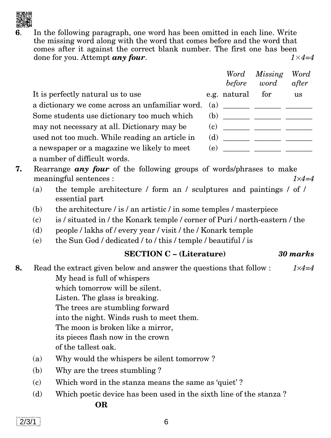**6**. In the following paragraph, one word has been omitted in each line. Write the missing word along with the word that comes before and the word that comes after it against the correct blank number. The first one has been done for you. Attempt *any four*. *1*×*4=4*

|                                                 |     | before       | Word Missing<br>word                         | Word<br>after |
|-------------------------------------------------|-----|--------------|----------------------------------------------|---------------|
| It is perfectly natural us to use               |     | e.g. natural | for                                          | us            |
| a dictionary we come across an unfamiliar word. | (a) |              | <u> 1989 - John Stone, Amerikaansk konst</u> |               |
| Some students use dictionary too much which     |     | (b)          |                                              |               |
| may not necessary at all. Dictionary may be     | (c) |              |                                              |               |
| used not too much. While reading an article in  | (d) |              |                                              |               |
| a newspaper or a magazine we likely to meet     |     | (e)          |                                              |               |
| a number of difficult words.                    |     |              |                                              |               |

- **7.** Rearrange *any four* of the following groups of words/phrases to make meaningful sentences : *14=4*
	- (a) the temple architecture / form an / sculptures and paintings / of / essential part
	- (b) the architecture / is / an artistic / in some temples / masterpiece
	- (c) is / situated in / the Konark temple / corner of Puri / north-eastern / the
	- (d) people / lakhs of / every year / visit / the / Konark temple
	- (e) the Sun God / dedicated / to / this / temple / beautiful / is

#### **SECTION C – (Literature)** *30 marks*

**8.** Read the extract given below and answer the questions that follow : *14=4* My head is full of whispers which tomorrow will be silent. Listen. The glass is breaking. The trees are stumbling forward into the night. Winds rush to meet them. The moon is broken like a mirror, its pieces flash now in the crown of the tallest oak.

- (a) Why would the whispers be silent tomorrow ?
- (b) Why are the trees stumbling ?
- (c) Which word in the stanza means the same as 'quiet' ?
- (d) Which poetic device has been used in the sixth line of the stanza ? **OR**